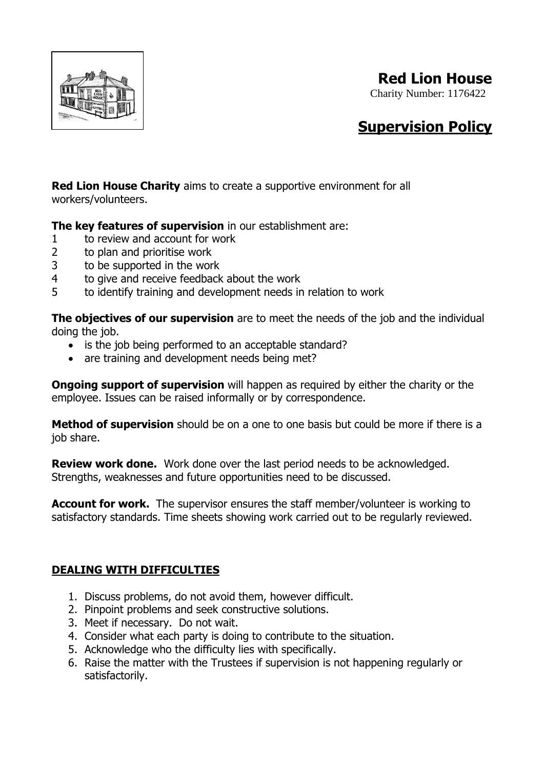

## **Red Lion House**

Charity Number: 1176422

## **Supervision Policy**

**Red Lion House Charity** aims to create a supportive environment for all workers/volunteers.

**The key features of supervision** in our establishment are:

- 1 to review and account for work
- 2 to plan and prioritise work
- 3 to be supported in the work
- 4 to give and receive feedback about the work
- 5 to identify training and development needs in relation to work

**The objectives of our supervision** are to meet the needs of the job and the individual doing the job.

- is the job being performed to an acceptable standard?
- are training and development needs being met?

**Ongoing support of supervision** will happen as required by either the charity or the employee. Issues can be raised informally or by correspondence.

**Method of supervision** should be on a one to one basis but could be more if there is a job share.

**Review work done.** Work done over the last period needs to be acknowledged. Strengths, weaknesses and future opportunities need to be discussed.

**Account for work.** The supervisor ensures the staff member/volunteer is working to satisfactory standards. Time sheets showing work carried out to be regularly reviewed.

## **DEALING WITH DIFFICULTIES**

- 1. Discuss problems, do not avoid them, however difficult.
- 2. Pinpoint problems and seek constructive solutions.
- 3. Meet if necessary. Do not wait.
- 4. Consider what each party is doing to contribute to the situation.
- 5. Acknowledge who the difficulty lies with specifically.
- 6. Raise the matter with the Trustees if supervision is not happening regularly or satisfactorily.